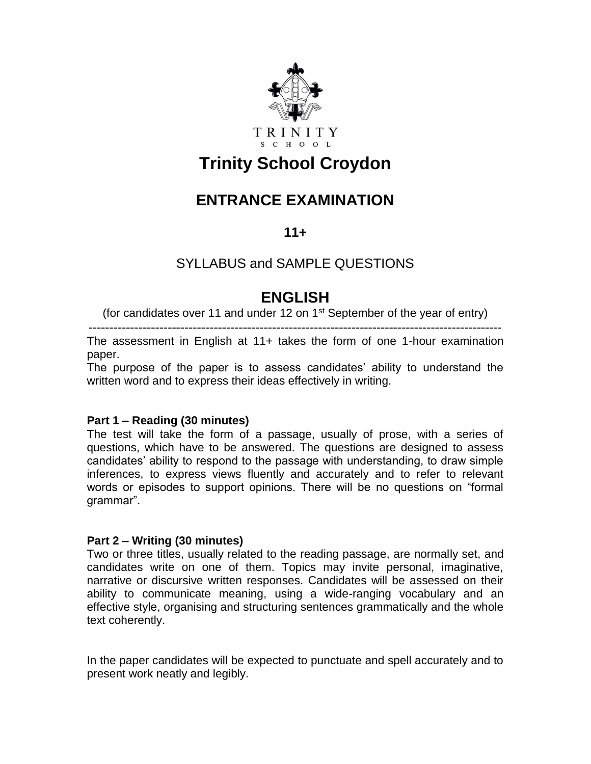

# **Trinity School Croydon**

# **ENTRANCE EXAMINATION**

**11+**

## SYLLABUS and SAMPLE QUESTIONS

# **ENGLISH**

(for candidates over 11 and under 12 on  $1<sup>st</sup>$  September of the year of entry)

---------------------------------------------------------------------------------------------------

The assessment in English at 11+ takes the form of one 1-hour examination paper.

The purpose of the paper is to assess candidates' ability to understand the written word and to express their ideas effectively in writing.

### **Part 1 – Reading (30 minutes)**

The test will take the form of a passage, usually of prose, with a series of questions, which have to be answered. The questions are designed to assess candidates' ability to respond to the passage with understanding, to draw simple inferences, to express views fluently and accurately and to refer to relevant words or episodes to support opinions. There will be no questions on "formal grammar".

### **Part 2 – Writing (30 minutes)**

Two or three titles, usually related to the reading passage, are normally set, and candidates write on one of them. Topics may invite personal, imaginative, narrative or discursive written responses. Candidates will be assessed on their ability to communicate meaning, using a wide-ranging vocabulary and an effective style, organising and structuring sentences grammatically and the whole text coherently.

In the paper candidates will be expected to punctuate and spell accurately and to present work neatly and legibly.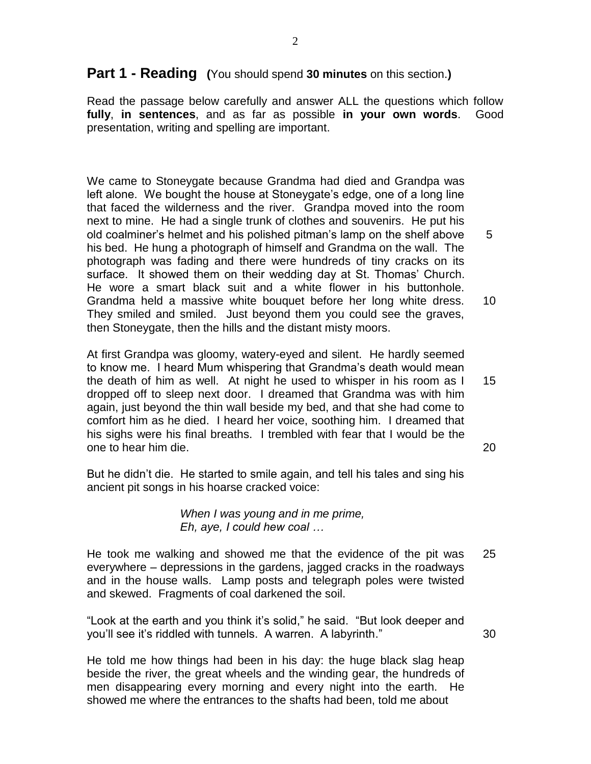## **Part 1 - Reading (**You should spend **30 minutes** on this section.**)**

Read the passage below carefully and answer ALL the questions which follow **fully**, **in sentences**, and as far as possible **in your own words**. Good presentation, writing and spelling are important.

We came to Stoneygate because Grandma had died and Grandpa was left alone. We bought the house at Stoneygate's edge, one of a long line that faced the wilderness and the river. Grandpa moved into the room next to mine. He had a single trunk of clothes and souvenirs. He put his old coalminer's helmet and his polished pitman's lamp on the shelf above his bed. He hung a photograph of himself and Grandma on the wall. The photograph was fading and there were hundreds of tiny cracks on its surface. It showed them on their wedding day at St. Thomas' Church. He wore a smart black suit and a white flower in his buttonhole. Grandma held a massive white bouquet before her long white dress. They smiled and smiled. Just beyond them you could see the graves, then Stoneygate, then the hills and the distant misty moors. 5 10

At first Grandpa was gloomy, watery-eyed and silent. He hardly seemed to know me. I heard Mum whispering that Grandma's death would mean the death of him as well. At night he used to whisper in his room as I dropped off to sleep next door. I dreamed that Grandma was with him again, just beyond the thin wall beside my bed, and that she had come to comfort him as he died. I heard her voice, soothing him. I dreamed that his sighs were his final breaths. I trembled with fear that I would be the one to hear him die. 15

20

30

But he didn't die. He started to smile again, and tell his tales and sing his ancient pit songs in his hoarse cracked voice:

> *When I was young and in me prime, Eh, aye, I could hew coal …*

He took me walking and showed me that the evidence of the pit was everywhere – depressions in the gardens, jagged cracks in the roadways and in the house walls. Lamp posts and telegraph poles were twisted and skewed. Fragments of coal darkened the soil. 25

"Look at the earth and you think it's solid," he said. "But look deeper and you'll see it's riddled with tunnels. A warren. A labyrinth."

He told me how things had been in his day: the huge black slag heap beside the river, the great wheels and the winding gear, the hundreds of men disappearing every morning and every night into the earth. He showed me where the entrances to the shafts had been, told me about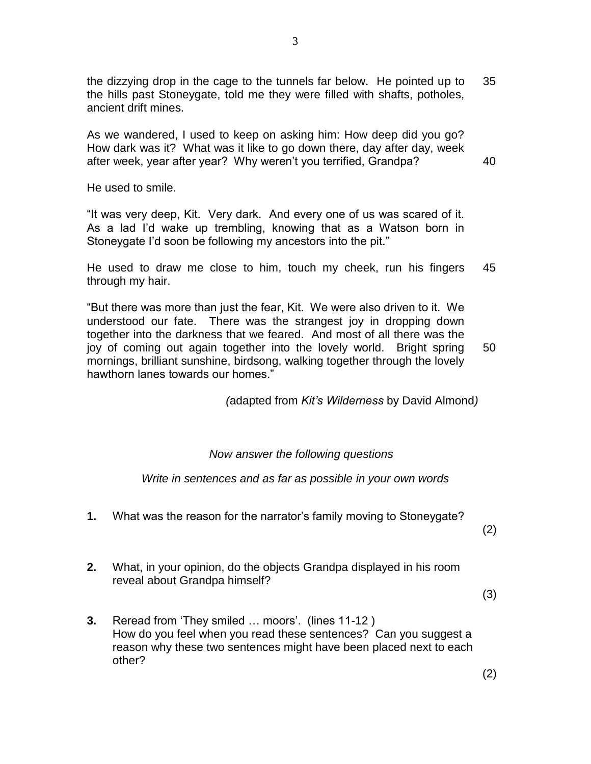the dizzying drop in the cage to the tunnels far below. He pointed up to the hills past Stoneygate, told me they were filled with shafts, potholes, ancient drift mines. 35

As we wandered, I used to keep on asking him: How deep did you go? How dark was it? What was it like to go down there, day after day, week after week, year after year? Why weren't you terrified, Grandpa?

He used to smile.

"It was very deep, Kit. Very dark. And every one of us was scared of it. As a lad I'd wake up trembling, knowing that as a Watson born in Stoneygate I'd soon be following my ancestors into the pit."

He used to draw me close to him, touch my cheek, run his fingers through my hair. 45

"But there was more than just the fear, Kit. We were also driven to it. We understood our fate. There was the strangest joy in dropping down together into the darkness that we feared. And most of all there was the joy of coming out again together into the lovely world. Bright spring mornings, brilliant sunshine, birdsong, walking together through the lovely hawthorn lanes towards our homes." 50

*(*adapted from *Kit's Wilderness* by David Almond*)*

#### *Now answer the following questions*

*Write in sentences and as far as possible in your own words*

- **1.** What was the reason for the narrator's family moving to Stoneygate?
	- (2)

40

**2.** What, in your opinion, do the objects Grandpa displayed in his room reveal about Grandpa himself?

(3)

**3.** Reread from 'They smiled … moors'. (lines 11-12 ) How do you feel when you read these sentences? Can you suggest a reason why these two sentences might have been placed next to each other?

(2)